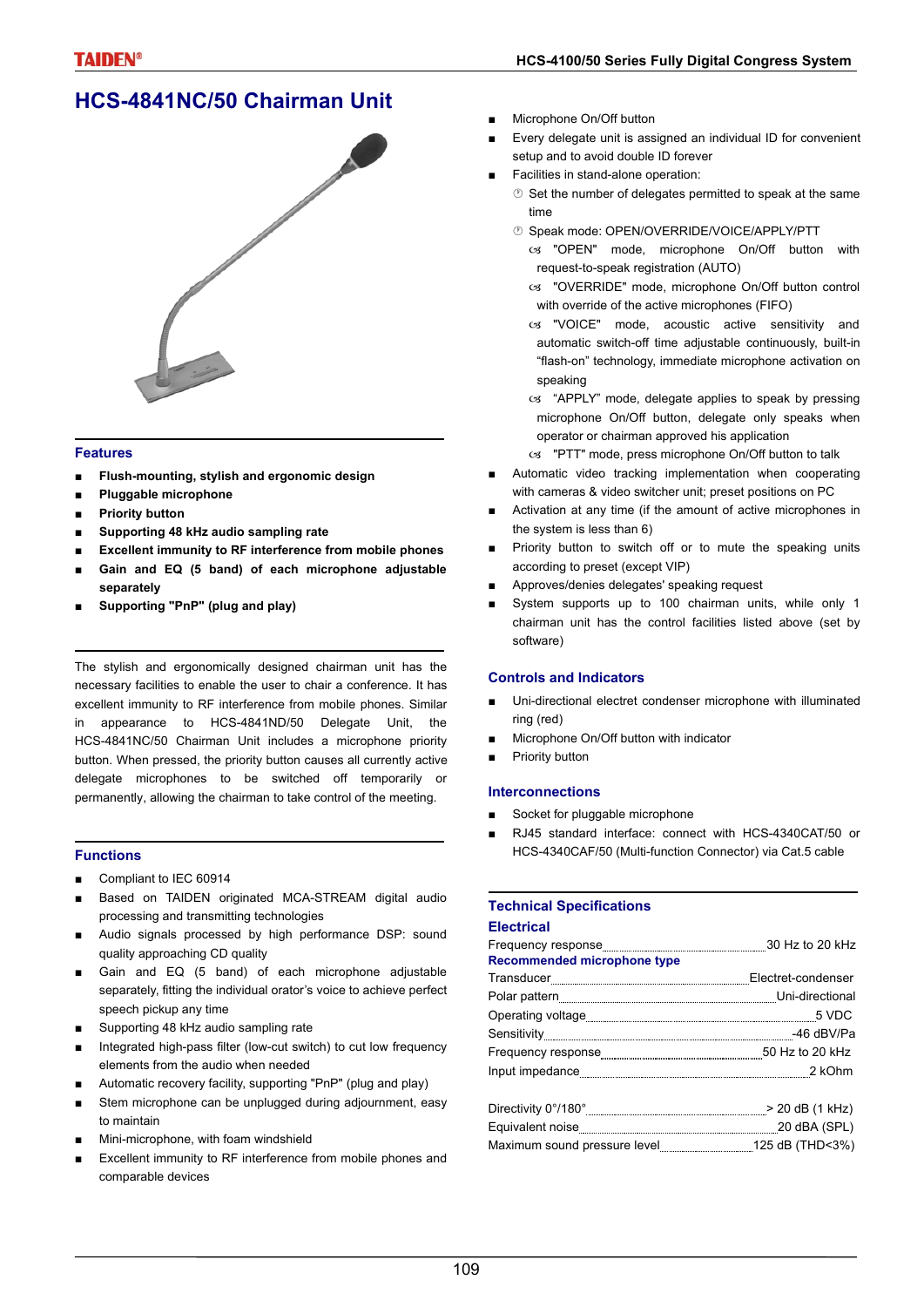# **HCS-4841NC/50 Chairman Unit**



#### **Features**

- **■ Flush-mounting, stylish and ergonomic design**
- **■ Pluggable microphone**
- **■ Priority button**
- **■ Supporting 48 kHz audio sampling rate**
- **■ Excellent immunity to RF interference from mobile phones**
- **■ Gain and EQ (5 band) of each microphone adjustable separately**
- **■ Supporting "PnP" (plug and play)**

The stylish and ergonomically designed chairman unit has the necessary facilities to enable the user to chair a conference. It has excellent immunity to RF interference from mobile phones. Similar in appearance to HCS-4841ND/50 Delegate Unit, the HCS-4841NC/50 Chairman Unit includes a microphone priority button. When pressed, the priority button causes all currently active delegate microphones to be switched off temporarily or permanently, allowing the chairman to take control of the meeting.

### **Functions**

- Compliant to IEC 60914
- Based on TAIDEN originated MCA-STREAM digital audio processing and transmitting technologies
- Audio signals processed by high performance DSP: sound quality approaching CD quality
- Gain and EQ (5 band) of each microphone adjustable separately, fitting the individual orator's voice to achieve perfect speech pickup any time
- Supporting 48 kHz audio sampling rate
- Integrated high-pass filter (low-cut switch) to cut low frequency elements from the audio when needed
- Automatic recovery facility, supporting "PnP" (plug and play)
- Stem microphone can be unplugged during adjournment, easy to maintain
- Mini-microphone, with foam windshield
- Excellent immunity to RF interference from mobile phones and comparable devices
- Microphone On/Off button
- Every delegate unit is assigned an individual ID for convenient setup and to avoid double ID forever
- Facilities in stand-alone operation:
	- $\circledcirc$  Set the number of delegates permitted to speak at the same time
	- Speak mode: OPEN/OVERRIDE/VOICE/APPLY/PTT
		- os "OPEN" mode, microphone On/Off button with request-to-speak registration (AUTO)
		- cs "OVERRIDE" mode, microphone On/Off button control with override of the active microphones (FIFO)
		- cs "VOICE" mode, acoustic active sensitivity and automatic switch-off time adjustable continuously, built-in "flash-on" technology, immediate microphone activation on speaking
		- cs "APPLY" mode, delegate applies to speak by pressing microphone On/Off button, delegate only speaks when operator or chairman approved his application
		- $\infty$  "PTT" mode, press microphone On/Off button to talk
- Automatic video tracking implementation when cooperating with cameras & video switcher unit; preset positions on PC
- Activation at any time (if the amount of active microphones in the system is less than 6)
- Priority button to switch off or to mute the speaking units according to preset (except VIP)
- Approves/denies delegates' speaking request
- System supports up to 100 chairman units, while only 1 chairman unit has the control facilities listed above (set by software)

### **Controls and Indicators**

- Uni-directional electret condenser microphone with illuminated ring (red)
- Microphone On/Off button with indicator
- Priority button

### **Interconnections**

- Socket for pluggable microphone
- RJ45 standard interface: connect with HCS-4340CAT/50 or HCS-4340CAF/50 (Multi-function Connector) via Cat.5 cable

#### **Technical Specifications Electrical**

| екто на конц                       |  |
|------------------------------------|--|
|                                    |  |
| <b>Recommended microphone type</b> |  |
|                                    |  |
|                                    |  |
|                                    |  |
|                                    |  |
|                                    |  |
|                                    |  |
|                                    |  |
|                                    |  |
|                                    |  |
|                                    |  |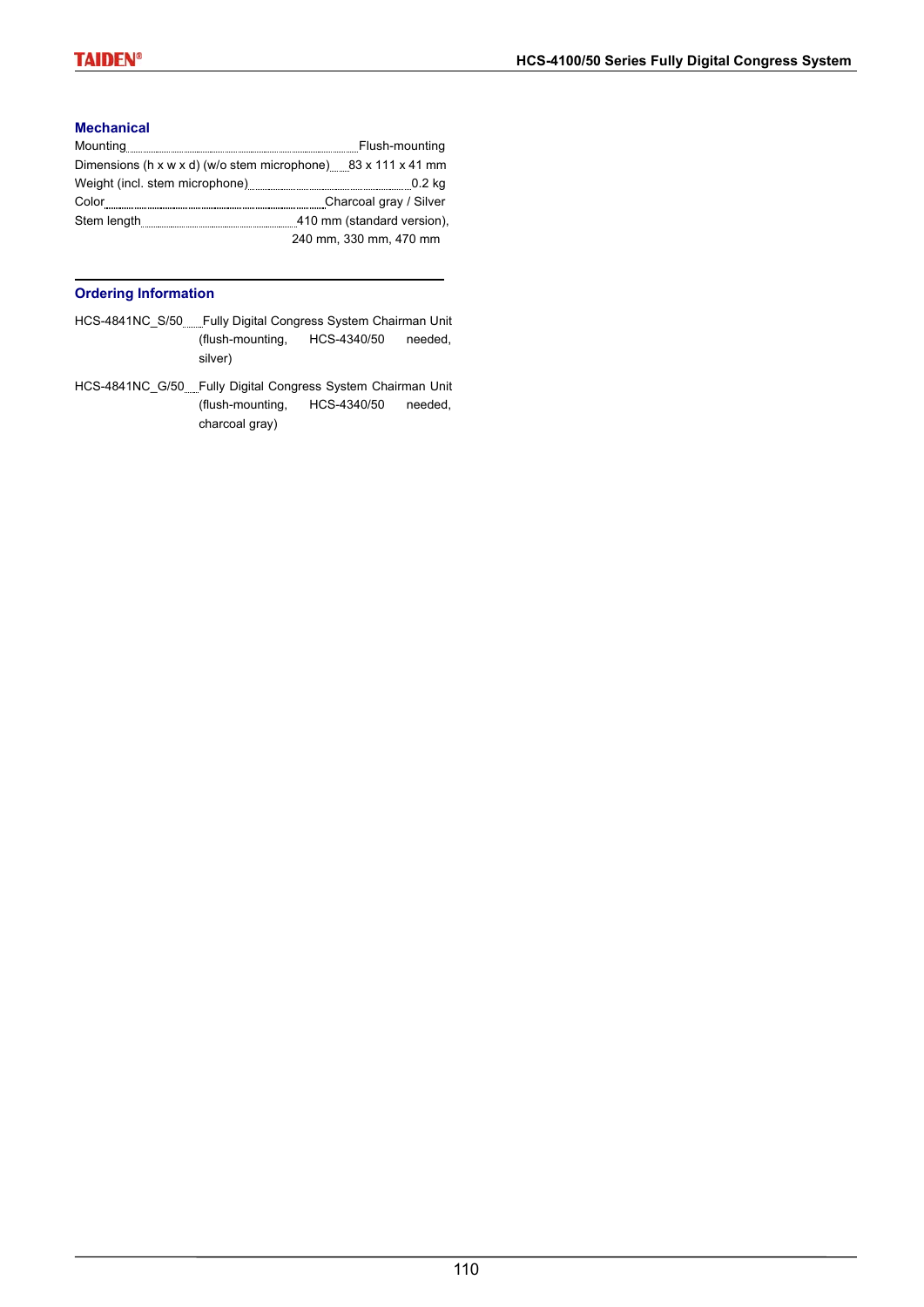### **Mechanical**

|                                                                           | Flush-mounting             |
|---------------------------------------------------------------------------|----------------------------|
| Dimensions (h x w x d) (w/o stem microphone) $83 \times 111 \times 41$ mm |                            |
|                                                                           |                            |
| Color                                                                     | Charcoal gray / Silver     |
| Stem length                                                               | 410 mm (standard version), |
|                                                                           | 240 mm, 330 mm, 470 mm     |

### **Ordering Information**

- HCS-4841NC\_S/50 Fully Digital Congress System Chairman Unit (flush-mounting, HCS-4340/50 needed, silver)
- HCS-4841NC\_G/50 Fully Digital Congress System Chairman Unit (flush-mounting, HCS-4340/50 needed, charcoal gray)